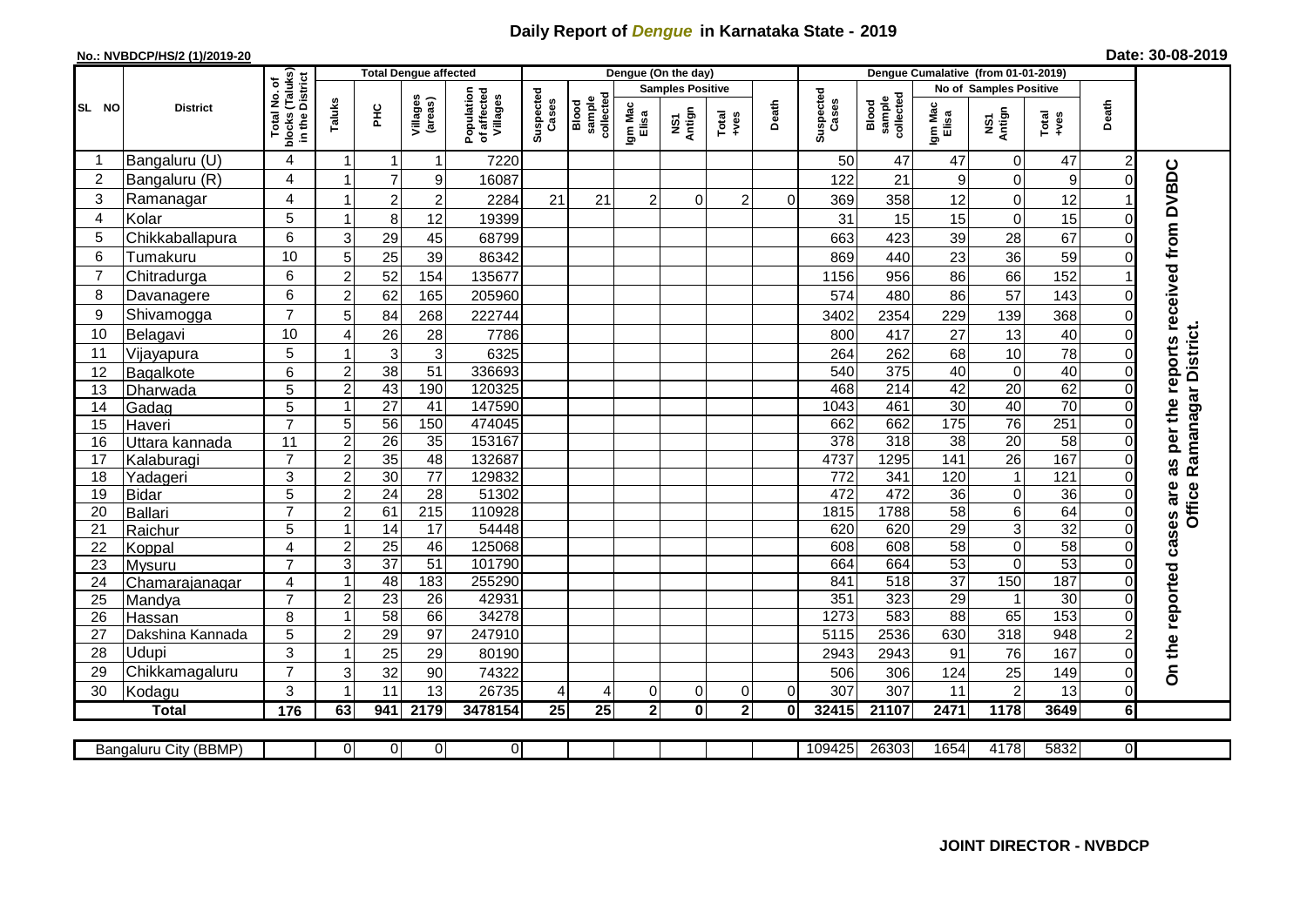## **Daily Report of** *Dengue* **in Karnataka State - 2019**

## **No.: NVBDCP/HS/2 (1)/2019-20 Date: 30-08-2019**

|                | <b>District</b>            |                                                             |                                |                 | <b>Total Dengue affected</b> |                                       |                    |                              |                         | Dengue (On the day) |                                                              |             |                    |                               |                                    |                    |                        |                      |                                        |
|----------------|----------------------------|-------------------------------------------------------------|--------------------------------|-----------------|------------------------------|---------------------------------------|--------------------|------------------------------|-------------------------|---------------------|--------------------------------------------------------------|-------------|--------------------|-------------------------------|------------------------------------|--------------------|------------------------|----------------------|----------------------------------------|
|                |                            |                                                             |                                |                 |                              |                                       |                    |                              | <b>Samples Positive</b> |                     |                                                              |             |                    | <b>No of Samples Positive</b> |                                    |                    |                        |                      |                                        |
| SL NO          |                            | Total No. of<br>Iocks (Taluks)<br>in the District<br>blocks | Taluks                         | ΞÉ              | Villages<br>(areas)          | Population<br>of affected<br>Villages | Suspected<br>Cases | collected<br>Blood<br>sample | Igm Mac<br>Elisa        | Antign<br>ΜŠ7       | $\begin{array}{c}\n\text{Total} \\ \text{Area}\n\end{array}$ | Death       | Suspected<br>Cases | collected<br>sample<br>Blood  | Igm Mac<br>Elisa                   | NS1<br>Antign      | Total<br>+ves          | Death                |                                        |
|                | Bangaluru (U)              | $\overline{4}$                                              | 1                              | $\mathbf{1}$    | 1                            | 7220                                  |                    |                              |                         |                     |                                                              |             | 50                 | 47                            | 47                                 | $\mathbf 0$        | 47                     | $\overline{c}$       |                                        |
| $\overline{2}$ | Bangaluru (R)              | 4                                                           | 1                              | $\overline{7}$  | 9                            | 16087                                 |                    |                              |                         |                     |                                                              |             | 122                | 21                            | 9                                  | 0                  | $\boldsymbol{9}$       | $\Omega$             | as per the reports received from DVBDC |
| 3              | Ramanagar                  | 4                                                           | 1                              | $\overline{c}$  | $\overline{2}$               | 2284                                  | 21                 | 21                           | $\overline{2}$          | $\mathbf 0$         | $\overline{c}$                                               | $\mathbf 0$ | 369                | 358                           | 12                                 | $\mathsf 0$        | 12                     |                      |                                        |
| $\overline{4}$ | Kolar                      | 5                                                           | $\mathbf 1$                    | $\bf 8$         | 12                           | 19399                                 |                    |                              |                         |                     |                                                              |             | 31                 | 15                            | 15                                 | $\mathbf 0$        | 15                     | $\Omega$             |                                        |
| 5              | Chikkaballapura            | 6                                                           | 3                              | 29              | 45                           | 68799                                 |                    |                              |                         |                     |                                                              |             | 663                | 423                           | 39                                 | 28                 | 67                     | $\Omega$             |                                        |
| 6              | Tumakuru                   | 10                                                          | 5                              | 25              | 39                           | 86342                                 |                    |                              |                         |                     |                                                              |             | 869                | 440                           | 23                                 | 36                 | 59                     | 0                    |                                        |
| $\overline{7}$ | Chitradurga                | 6                                                           | $\overline{2}$                 | 52              | 154                          | 135677                                |                    |                              |                         |                     |                                                              |             | 1156               | 956                           | 86                                 | 66                 | 152                    |                      |                                        |
| 8              | Davanagere                 | 6                                                           | $\overline{2}$                 | 62              | 165                          | 205960                                |                    |                              |                         |                     |                                                              |             | 574                | 480                           | 86                                 | 57                 | 143                    | $\Omega$             |                                        |
| 9              | Shivamogga                 | $\overline{7}$                                              | 5                              | 84              | 268                          | 222744                                |                    |                              |                         |                     |                                                              |             | 3402               | 2354                          | 229                                | 139                | 368                    | $\Omega$             |                                        |
| 10             | Belagavi                   | 10                                                          | $\overline{4}$                 | $\overline{26}$ | 28                           | 7786                                  |                    |                              |                         |                     |                                                              |             | 800                | 417                           | 27                                 | 13                 | 40                     | $\Omega$             | Ramanagar District.                    |
| 11             | Vijayapura                 | 5                                                           | 1                              | $\mathbf{3}$    | $\mathbf{3}$                 | 6325                                  |                    |                              |                         |                     |                                                              |             | 264                | 262                           | 68                                 | 10                 | 78                     | $\Omega$             |                                        |
| 12             | Bagalkote                  | $6\phantom{1}6$                                             | $\overline{c}$                 | 38              | 51                           | 336693                                |                    |                              |                         |                     |                                                              |             | 540                | 375                           | 40                                 | $\pmb{0}$          | 40                     | $\Omega$             |                                        |
| 13             | Dharwada                   | 5                                                           | $\overline{2}$                 | 43              | 190                          | 120325                                |                    |                              |                         |                     |                                                              |             | 468                | 214                           | 42                                 | $\overline{20}$    | 62                     | $\mathbf 0$          |                                        |
| 14             | Gadag                      | 5                                                           | $\mathbf{1}$                   | $\overline{27}$ | 41                           | 147590                                |                    |                              |                         |                     |                                                              |             | 1043               | 461                           | $\overline{30}$                    | 40                 | 70                     | $\Omega$             |                                        |
| 15             | Haveri                     | $\overline{7}$                                              | 5                              | 56              | 150                          | 474045                                |                    |                              |                         |                     |                                                              |             | 662                | 662                           | 175                                | 76                 | 251                    | $\Omega$             |                                        |
| 16             | Uttara kannada             | 11                                                          | $\overline{c}$                 | $\overline{26}$ | 35                           | 153167                                |                    |                              |                         |                     |                                                              |             | $\overline{378}$   | 318                           | $\overline{38}$                    | $\overline{20}$    | 58                     | $\Omega$             |                                        |
| 17             | Kalaburagi                 | $\overline{7}$                                              | $\overline{c}$                 | 35              | 48                           | 132687                                |                    |                              |                         |                     |                                                              |             | 4737               | 1295                          | 141                                | $\overline{26}$    | 167                    | $\Omega$             |                                        |
| 18             | Yadageri                   | 3                                                           | $\overline{2}$                 | 30              | 77                           | 129832                                |                    |                              |                         |                     |                                                              |             | $\overline{772}$   | 341                           | 120                                | $\mathbf{1}$       | 121                    | $\Omega$             |                                        |
| 19             | <b>Bidar</b>               | 5                                                           | $\overline{\mathbf{c}}$        | 24              | $\overline{28}$              | 51302                                 |                    |                              |                         |                     |                                                              |             | 472                | 472                           | $\overline{36}$                    | $\mathsf 0$        | $\overline{36}$        | 0                    |                                        |
| 20             | Ballari                    | $\overline{7}$                                              | $\overline{2}$                 | 61              | 215                          | 110928                                |                    |                              |                         |                     |                                                              |             | 1815               | 1788                          | 58                                 | 6                  | 64                     | $\Omega$             | Office                                 |
| 21             | Raichur                    | 5                                                           | 1                              | $\overline{14}$ | 17                           | 54448                                 |                    |                              |                         |                     |                                                              |             | 620                | 620                           | $\overline{29}$                    | 3                  | $\overline{32}$        | $\Omega$             | cases are                              |
| 22             | Koppal                     | $\overline{4}$                                              | $\overline{2}$                 | 25              | 46                           | 125068                                |                    |                              |                         |                     |                                                              |             | 608                | 608                           | 58                                 | $\overline{0}$     | 58                     | $\Omega$             |                                        |
| 23             | Mysuru                     | $\overline{7}$                                              | 3                              | $\overline{37}$ | $\overline{51}$              | 101790                                |                    |                              |                         |                     |                                                              |             | 664                | 664                           | 53                                 | $\mathbf 0$        | 53                     | $\Omega$             |                                        |
| 24             | Chamarajanagar             | $\overline{4}$<br>$\overline{7}$                            | 1                              | 48              | 183                          | 255290                                |                    |                              |                         |                     |                                                              |             | 841                | $\overline{518}$              | $\overline{37}$                    | 150                | 187                    | $\Omega$             |                                        |
| 25             | Mandya                     |                                                             | $\overline{2}$<br>$\mathbf{1}$ | $\overline{23}$ | 26<br>66                     | 42931<br>34278                        |                    |                              |                         |                     |                                                              |             | 351<br>1273        | 323<br>583                    | $\overline{29}$<br>$\overline{88}$ | $\mathbf{1}$<br>65 | $\overline{30}$<br>153 | $\Omega$<br>$\Omega$ |                                        |
| 26<br>27       | Hassan<br>Dakshina Kannada | 8<br>5                                                      | $\overline{c}$                 | 58<br>29        | 97                           | 247910                                |                    |                              |                         |                     |                                                              |             | 5115               | 2536                          | 630                                | 318                | 948                    |                      |                                        |
| 28             | Udupi                      | 3                                                           | $\mathbf 1$                    | 25              | 29                           | 80190                                 |                    |                              |                         |                     |                                                              |             | 2943               | 2943                          | 91                                 | 76                 | 167                    | $\Omega$             | On the reported                        |
| 29             | Chikkamagaluru             | $\overline{7}$                                              | 3                              | 32              | 90                           | 74322                                 |                    |                              |                         |                     |                                                              |             | 506                | 306                           | 124                                | 25                 | 149                    | $\Omega$             |                                        |
| 30             | Kodagu                     | 3                                                           | $\mathbf 1$                    | 11              | 13                           | 26735                                 | 4                  | 4                            | $\mathbf 0$             | $\pmb{0}$           | 0                                                            | $\mathbf 0$ | 307                | 307                           | 11                                 | $\overline{c}$     | 13                     | $\mathbf 0$          |                                        |
|                | <b>Total</b>               | 176                                                         | 63                             | 941             | 2179                         | 3478154                               | 25                 | 25                           | 2 <sub>1</sub>          | 0                   | $\mathbf 2$                                                  | $\mathbf 0$ | 32415              | 21107                         | 2471                               | 1178               | 3649                   | 6 <sup>1</sup>       |                                        |
|                |                            |                                                             |                                |                 |                              |                                       |                    |                              |                         |                     |                                                              |             |                    |                               |                                    |                    |                        |                      |                                        |
|                | Bangaluru City (BBMP)      |                                                             | 0                              | $\Omega$        | 0                            | $\overline{0}$                        |                    |                              |                         |                     |                                                              |             | 109425             | 26303                         | 1654                               | 4178               | 5832                   | $\overline{0}$       |                                        |